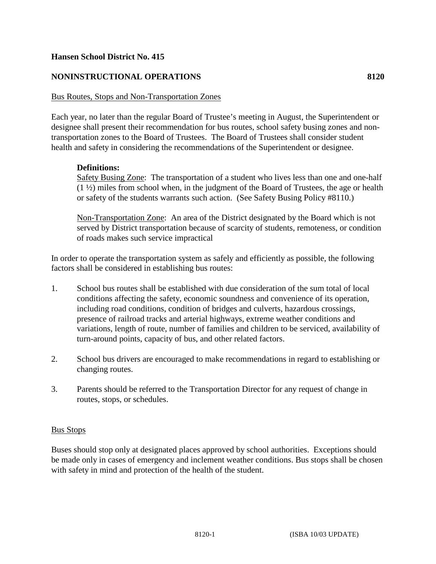# **Hansen School District No. 415**

# **NONINSTRUCTIONAL OPERATIONS 8120**

#### Bus Routes, Stops and Non-Transportation Zones

Each year, no later than the regular Board of Trustee's meeting in August, the Superintendent or designee shall present their recommendation for bus routes, school safety busing zones and nontransportation zones to the Board of Trustees. The Board of Trustees shall consider student health and safety in considering the recommendations of the Superintendent or designee.

#### **Definitions:**

Safety Busing Zone: The transportation of a student who lives less than one and one-half (1 ½) miles from school when, in the judgment of the Board of Trustees, the age or health or safety of the students warrants such action. (See Safety Busing Policy #8110.)

Non-Transportation Zone: An area of the District designated by the Board which is not served by District transportation because of scarcity of students, remoteness, or condition of roads makes such service impractical

In order to operate the transportation system as safely and efficiently as possible, the following factors shall be considered in establishing bus routes:

- 1. School bus routes shall be established with due consideration of the sum total of local conditions affecting the safety, economic soundness and convenience of its operation, including road conditions, condition of bridges and culverts, hazardous crossings, presence of railroad tracks and arterial highways, extreme weather conditions and variations, length of route, number of families and children to be serviced, availability of turn-around points, capacity of bus, and other related factors.
- 2. School bus drivers are encouraged to make recommendations in regard to establishing or changing routes.
- 3. Parents should be referred to the Transportation Director for any request of change in routes, stops, or schedules.

#### Bus Stops

Buses should stop only at designated places approved by school authorities. Exceptions should be made only in cases of emergency and inclement weather conditions. Bus stops shall be chosen with safety in mind and protection of the health of the student.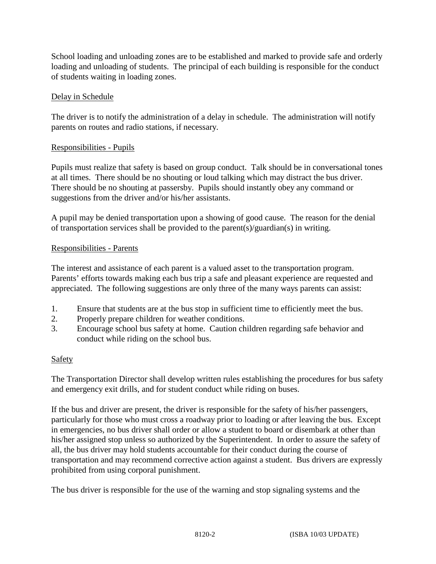School loading and unloading zones are to be established and marked to provide safe and orderly loading and unloading of students. The principal of each building is responsible for the conduct of students waiting in loading zones.

# Delay in Schedule

The driver is to notify the administration of a delay in schedule. The administration will notify parents on routes and radio stations, if necessary.

## Responsibilities - Pupils

Pupils must realize that safety is based on group conduct. Talk should be in conversational tones at all times. There should be no shouting or loud talking which may distract the bus driver. There should be no shouting at passersby. Pupils should instantly obey any command or suggestions from the driver and/or his/her assistants.

A pupil may be denied transportation upon a showing of good cause. The reason for the denial of transportation services shall be provided to the parent(s)/guardian(s) in writing.

## Responsibilities - Parents

The interest and assistance of each parent is a valued asset to the transportation program. Parents' efforts towards making each bus trip a safe and pleasant experience are requested and appreciated. The following suggestions are only three of the many ways parents can assist:

- 1. Ensure that students are at the bus stop in sufficient time to efficiently meet the bus.
- 2. Properly prepare children for weather conditions.
- 3. Encourage school bus safety at home. Caution children regarding safe behavior and conduct while riding on the school bus.

# Safety

The Transportation Director shall develop written rules establishing the procedures for bus safety and emergency exit drills, and for student conduct while riding on buses.

If the bus and driver are present, the driver is responsible for the safety of his/her passengers, particularly for those who must cross a roadway prior to loading or after leaving the bus. Except in emergencies, no bus driver shall order or allow a student to board or disembark at other than his/her assigned stop unless so authorized by the Superintendent. In order to assure the safety of all, the bus driver may hold students accountable for their conduct during the course of transportation and may recommend corrective action against a student. Bus drivers are expressly prohibited from using corporal punishment.

The bus driver is responsible for the use of the warning and stop signaling systems and the